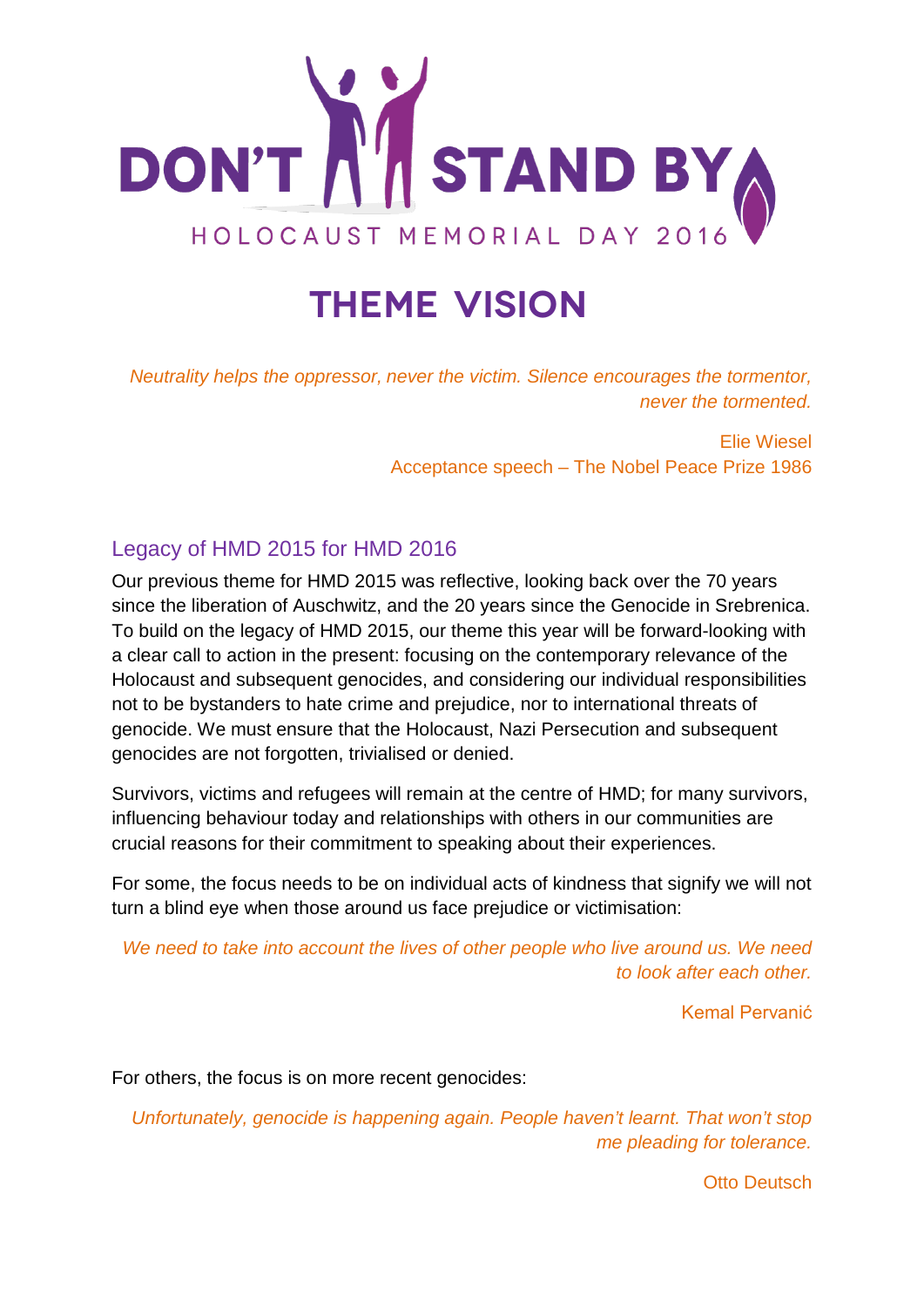

# **Theme vision**

*Neutrality helps the oppressor, never the victim. Silence encourages the tormentor, never the tormented.* 

> Elie Wiesel Acceptance speech – The Nobel Peace Prize 1986

# Legacy of HMD 2015 for HMD 2016

Our previous theme for HMD 2015 was reflective, looking back over the 70 years since the liberation of Auschwitz, and the 20 years since the Genocide in Srebrenica. To build on the legacy of HMD 2015, our theme this year will be forward-looking with a clear call to action in the present: focusing on the contemporary relevance of the Holocaust and subsequent genocides, and considering our individual responsibilities not to be bystanders to hate crime and prejudice, nor to international threats of genocide. We must ensure that the Holocaust, Nazi Persecution and subsequent genocides are not forgotten, trivialised or denied.

Survivors, victims and refugees will remain at the centre of HMD; for many survivors, influencing behaviour today and relationships with others in our communities are crucial reasons for their commitment to speaking about their experiences.

For some, the focus needs to be on individual acts of kindness that signify we will not turn a blind eye when those around us face prejudice or victimisation:

*We need to take into account the lives of other people who live around us. We need to look after each other.*

Kemal Pervanić

For others, the focus is on more recent genocides:

*Unfortunately, genocide is happening again. People haven't learnt. That won't stop me pleading for tolerance.*

Otto Deutsch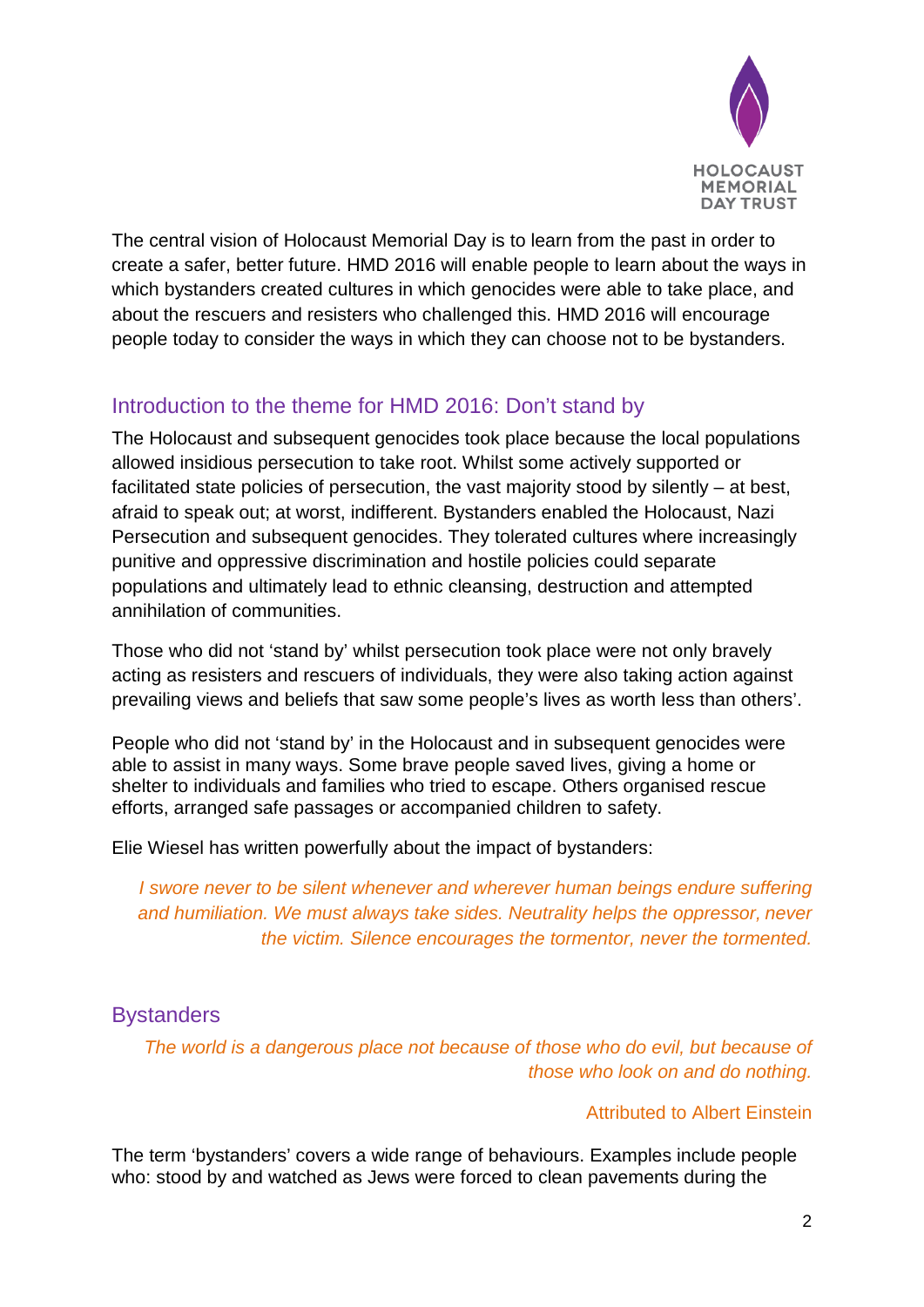

The central vision of Holocaust Memorial Day is to learn from the past in order to create a safer, better future. HMD 2016 will enable people to learn about the ways in which bystanders created cultures in which genocides were able to take place, and about the rescuers and resisters who challenged this. HMD 2016 will encourage people today to consider the ways in which they can choose not to be bystanders.

# Introduction to the theme for HMD 2016: Don't stand by

The Holocaust and subsequent genocides took place because the local populations allowed insidious persecution to take root. Whilst some actively supported or facilitated state policies of persecution, the vast majority stood by silently – at best, afraid to speak out; at worst, indifferent. Bystanders enabled the Holocaust, Nazi Persecution and subsequent genocides. They tolerated cultures where increasingly punitive and oppressive discrimination and hostile policies could separate populations and ultimately lead to ethnic cleansing, destruction and attempted annihilation of communities.

Those who did not 'stand by' whilst persecution took place were not only bravely acting as resisters and rescuers of individuals, they were also taking action against prevailing views and beliefs that saw some people's lives as worth less than others'.

People who did not 'stand by' in the Holocaust and in subsequent genocides were able to assist in many ways. Some brave people saved lives, giving a home or shelter to individuals and families who tried to escape. Others organised rescue efforts, arranged safe passages or accompanied children to safety.

Elie Wiesel has written powerfully about the impact of bystanders:

*I* swore never to be silent whenever and wherever human beings endure suffering *and humiliation. We must always take sides. Neutrality helps the oppressor, never the victim. Silence encourages the tormentor, never the tormented.* 

## **Bystanders**

*The world is a dangerous place not because of those who do evil, but because of those who look on and do nothing.*

## Attributed to Albert Einstein

The term 'bystanders' covers a wide range of behaviours. Examples include people who: stood by and watched as Jews were forced to clean pavements during the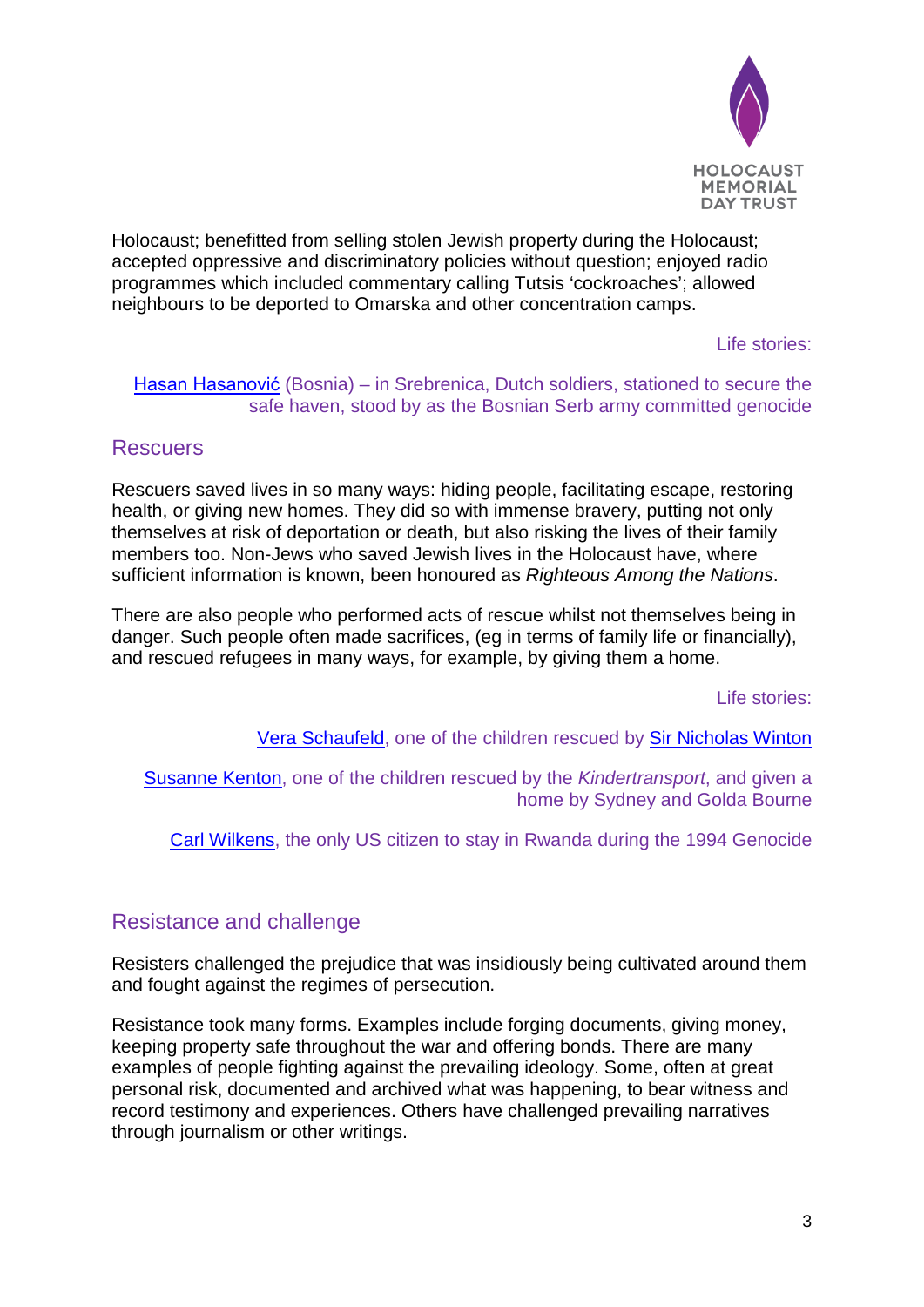

Holocaust; benefitted from selling stolen Jewish property during the Holocaust; accepted oppressive and discriminatory policies without question; enjoyed radio programmes which included commentary calling Tutsis 'cockroaches'; allowed neighbours to be deported to Omarska and other concentration camps.

Life stories:

[Hasan Hasanović](http://hmd.org.uk/resources/stories/hasan-hasanovi%C4%87) (Bosnia) – in Srebrenica, Dutch soldiers, stationed to secure the safe haven, stood by as the Bosnian Serb army committed genocide

## **Rescuers**

Rescuers saved lives in so many ways: hiding people, facilitating escape, restoring health, or giving new homes. They did so with immense bravery, putting not only themselves at risk of deportation or death, but also risking the lives of their family members too. Non-Jews who saved Jewish lives in the Holocaust have, where sufficient information is known, been honoured as *Righteous Among the Nations*.

There are also people who performed acts of rescue whilst not themselves being in danger. Such people often made sacrifices, (eg in terms of family life or financially), and rescued refugees in many ways, for example, by giving them a home.

Life stories:

[Vera Schaufeld,](http://www.hmd.org.uk/vera) one of the children rescued by [Sir Nicholas Winton](http://hmd.org.uk/resources/stories/hmd-2016-sir-nicholas-winton)

[Susanne Kenton,](http://www.hmd.org.uk/susanne) one of the children rescued by the *Kindertransport*, and given a home by Sydney and Golda Bourne

[Carl Wilkens,](http://hmd.org.uk/resources/stories/hmd-2016-carl-and-teresa-wilkens) the only US citizen to stay in Rwanda during the 1994 Genocide

## Resistance and challenge

Resisters challenged the prejudice that was insidiously being cultivated around them and fought against the regimes of persecution.

Resistance took many forms. Examples include forging documents, giving money, keeping property safe throughout the war and offering bonds. There are many examples of people fighting against the prevailing ideology. Some, often at great personal risk, documented and archived what was happening, to bear witness and record testimony and experiences. Others have challenged prevailing narratives through journalism or other writings.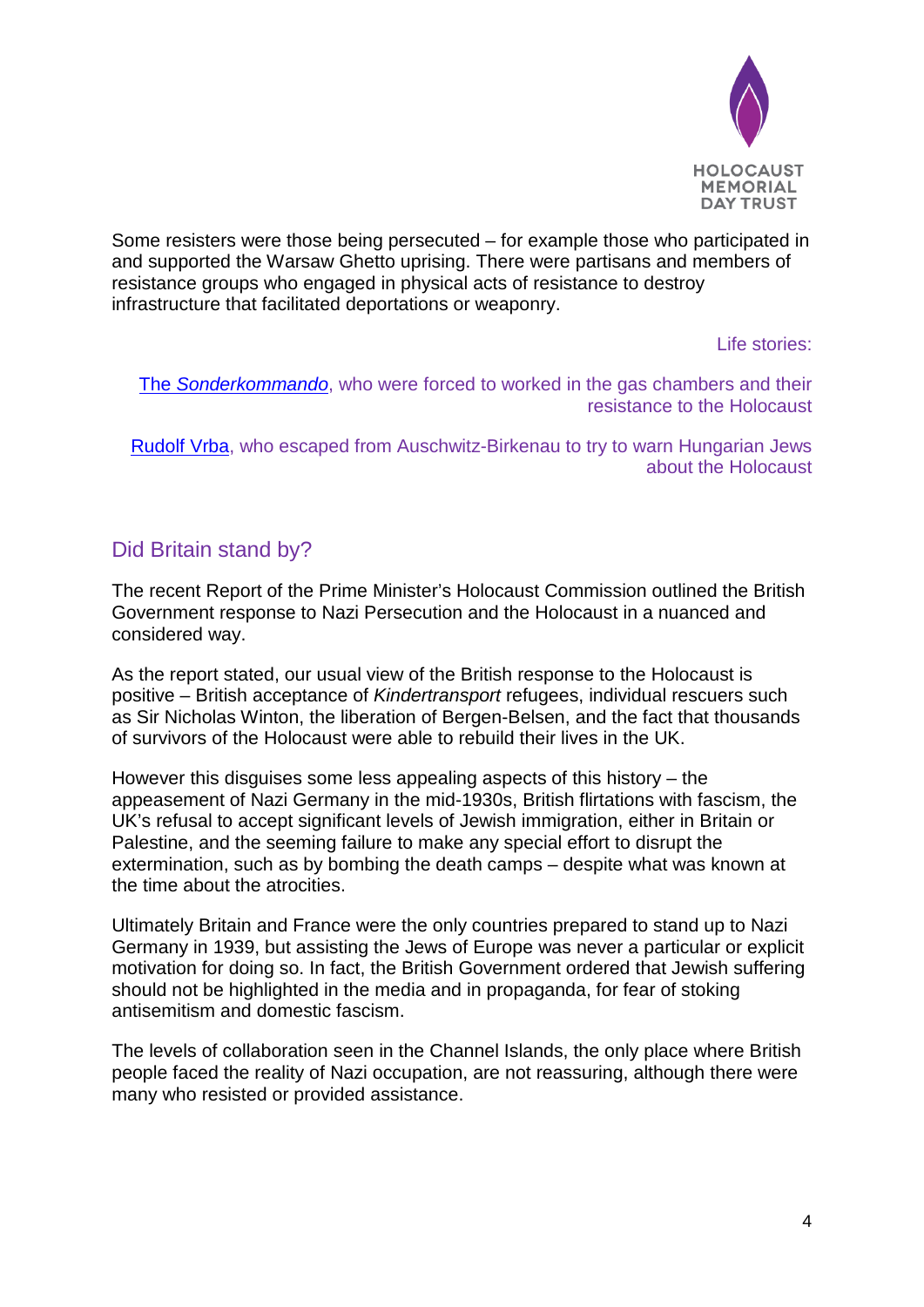

Some resisters were those being persecuted – for example those who participated in and supported the Warsaw Ghetto uprising. There were partisans and members of resistance groups who engaged in physical acts of resistance to destroy infrastructure that facilitated deportations or weaponry.

Life stories:

The *[Sonderkommando](http://www.hmd.org.uk/sonderkommando)*, who were forced to worked in the gas chambers and their resistance to the Holocaust

[Rudolf Vrba,](http://hmd.org.uk/resources/stories/hmd-2016-rudolf-vrba) who escaped from Auschwitz-Birkenau to try to warn Hungarian Jews about the Holocaust

# Did Britain stand by?

The recent Report of the Prime Minister's Holocaust Commission outlined the British Government response to Nazi Persecution and the Holocaust in a nuanced and considered way.

As the report stated, our usual view of the British response to the Holocaust is positive – British acceptance of *Kindertransport* refugees, individual rescuers such as Sir Nicholas Winton, the liberation of Bergen-Belsen, and the fact that thousands of survivors of the Holocaust were able to rebuild their lives in the UK.

However this disguises some less appealing aspects of this history – the appeasement of Nazi Germany in the mid-1930s, British flirtations with fascism, the UK's refusal to accept significant levels of Jewish immigration, either in Britain or Palestine, and the seeming failure to make any special effort to disrupt the extermination, such as by bombing the death camps – despite what was known at the time about the atrocities.

Ultimately Britain and France were the only countries prepared to stand up to Nazi Germany in 1939, but assisting the Jews of Europe was never a particular or explicit motivation for doing so. In fact, the British Government ordered that Jewish suffering should not be highlighted in the media and in propaganda, for fear of stoking antisemitism and domestic fascism.

The levels of collaboration seen in the Channel Islands, the only place where British people faced the reality of Nazi occupation, are not reassuring, although there were many who resisted or provided assistance.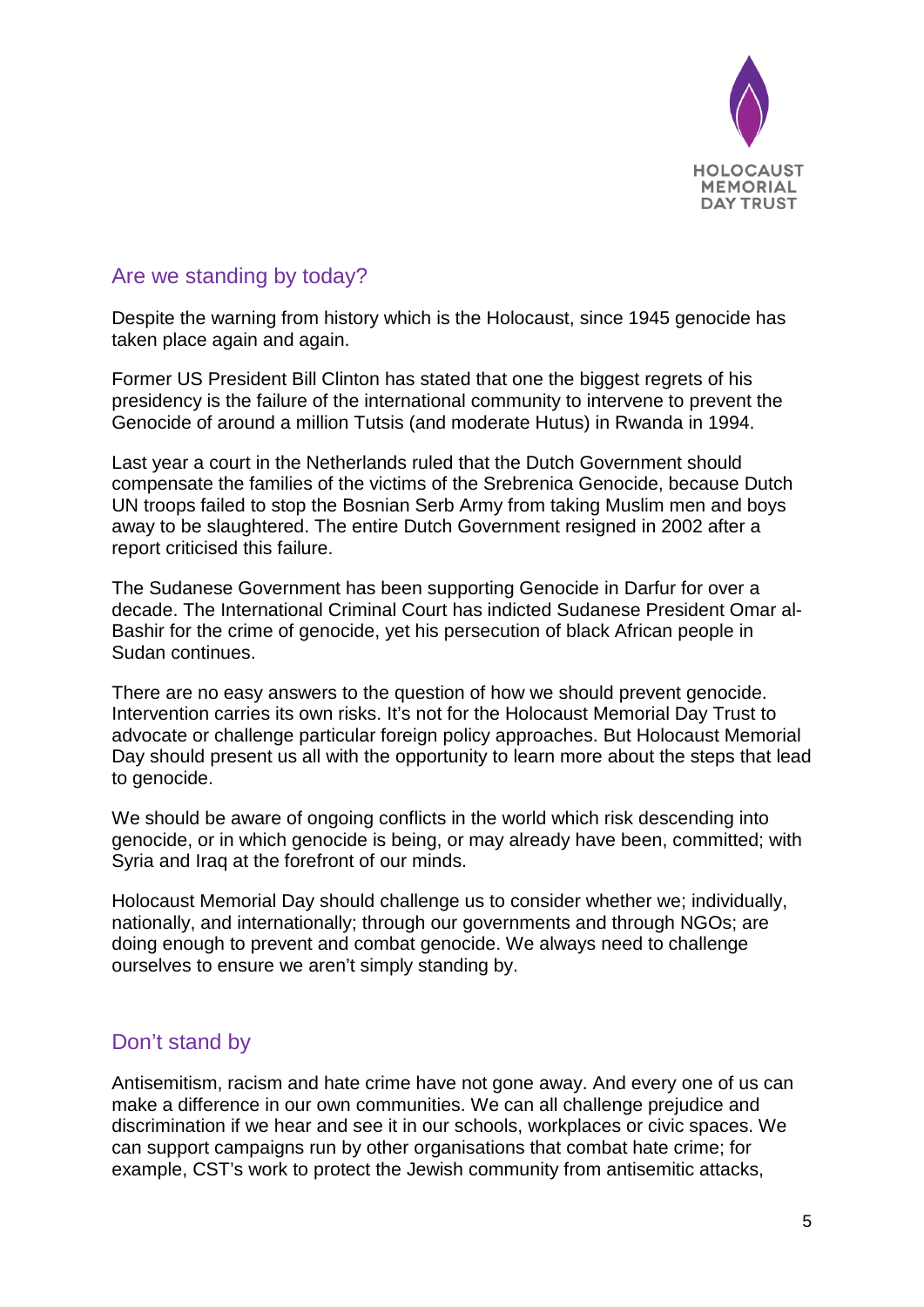

# Are we standing by today?

Despite the warning from history which is the Holocaust, since 1945 genocide has taken place again and again.

Former US President Bill Clinton has stated that one the biggest regrets of his presidency is the failure of the international community to intervene to prevent the Genocide of around a million Tutsis (and moderate Hutus) in Rwanda in 1994.

Last year a court in the Netherlands ruled that the Dutch Government should compensate the families of the victims of the Srebrenica Genocide, because Dutch UN troops failed to stop the Bosnian Serb Army from taking Muslim men and boys away to be slaughtered. The entire Dutch Government resigned in 2002 after a report criticised this failure.

The Sudanese Government has been supporting Genocide in Darfur for over a decade. The International Criminal Court has indicted Sudanese President Omar al-Bashir for the crime of genocide, yet his persecution of black African people in Sudan continues.

There are no easy answers to the question of how we should prevent genocide. Intervention carries its own risks. It's not for the Holocaust Memorial Day Trust to advocate or challenge particular foreign policy approaches. But Holocaust Memorial Day should present us all with the opportunity to learn more about the steps that lead to genocide.

We should be aware of ongoing conflicts in the world which risk descending into genocide, or in which genocide is being, or may already have been, committed; with Syria and Iraq at the forefront of our minds.

Holocaust Memorial Day should challenge us to consider whether we; individually, nationally, and internationally; through our governments and through NGOs; are doing enough to prevent and combat genocide. We always need to challenge ourselves to ensure we aren't simply standing by.

# Don't stand by

Antisemitism, racism and hate crime have not gone away. And every one of us can make a difference in our own communities. We can all challenge prejudice and discrimination if we hear and see it in our schools, workplaces or civic spaces. We can support campaigns run by other organisations that combat hate crime; for example, CST's work to protect the Jewish community from antisemitic attacks,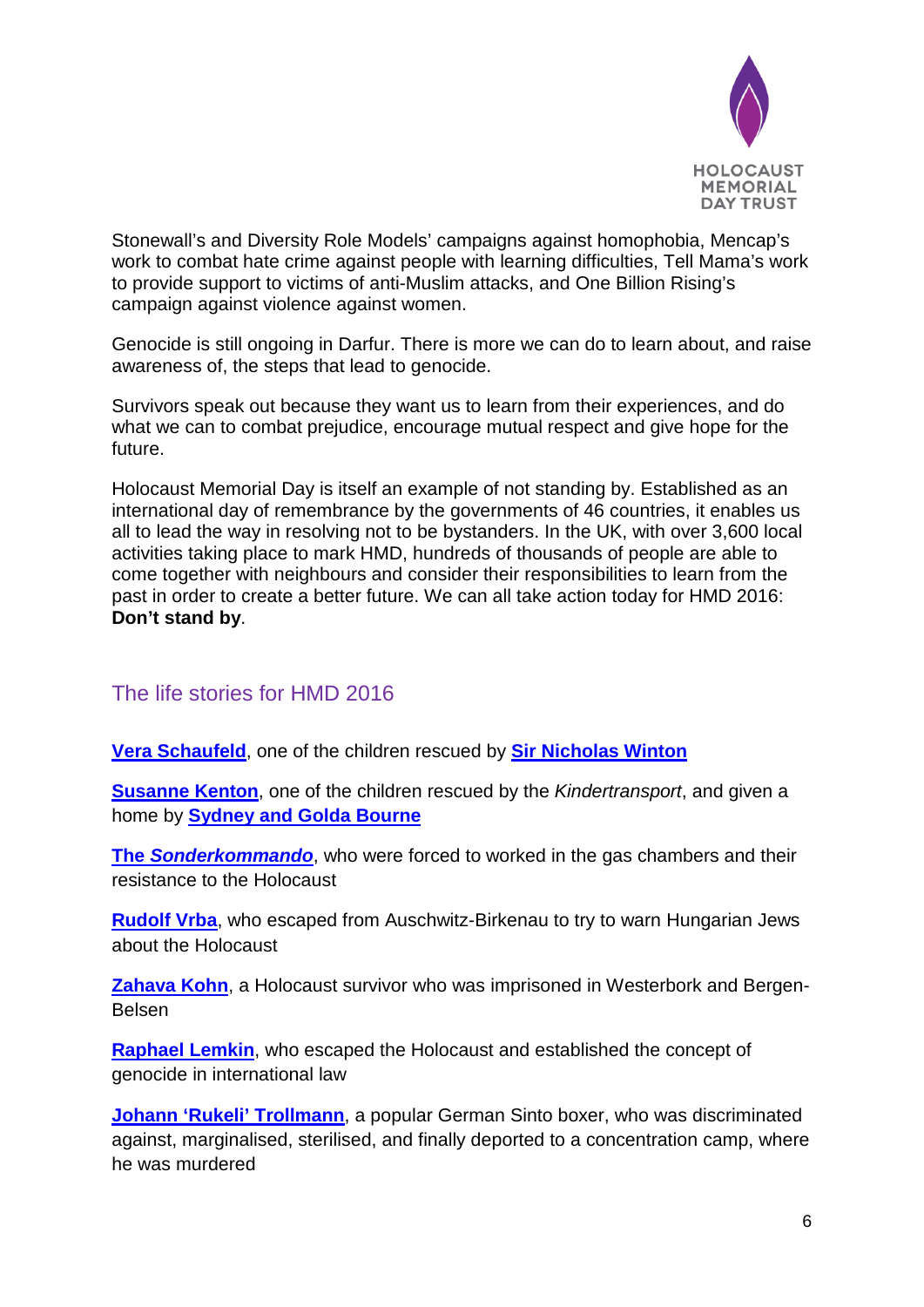

Stonewall's and Diversity Role Models' campaigns against homophobia, Mencap's work to combat hate crime against people with learning difficulties, Tell Mama's work to provide support to victims of anti-Muslim attacks, and One Billion Rising's campaign against violence against women.

Genocide is still ongoing in Darfur. There is more we can do to learn about, and raise awareness of, the steps that lead to genocide.

Survivors speak out because they want us to learn from their experiences, and do what we can to combat prejudice, encourage mutual respect and give hope for the future.

Holocaust Memorial Day is itself an example of not standing by. Established as an international day of remembrance by the governments of 46 countries, it enables us all to lead the way in resolving not to be bystanders. In the UK, with over 3,600 local activities taking place to mark HMD, hundreds of thousands of people are able to come together with neighbours and consider their responsibilities to learn from the past in order to create a better future. We can all take action today for HMD 2016: **Don't stand by**.

# The life stories for HMD 2016

**[Vera Schaufeld](http://www.hmd.org.uk/vera)**, one of the children rescued by **[Sir Nicholas Winton](http://hmd.org.uk/resources/stories/hmd-2016-sir-nicholas-winton)**

**[Susanne Kenton](http://www.hmd.org.uk/susanne)**, one of the children rescued by the *Kindertransport*, and given a home by **[Sydney and Golda Bourne](http://www.hmd.org.uk/bournes)**

**The** *[Sonderkommando](http://www.hmd.org.uk/sonderkommando)*, who were forced to worked in the gas chambers and their resistance to the Holocaust

**[Rudolf Vrba](http://hmd.org.uk/resources/stories/hmd-2016-rudolf-vrba)**, who escaped from Auschwitz-Birkenau to try to warn Hungarian Jews about the Holocaust

**[Zahava Kohn](http://hmd.org.uk/resources/stories/hmd-2016-zahava-kohn)**, a Holocaust survivor who was imprisoned in Westerbork and Bergen-Belsen

**[Raphael Lemkin](http://hmd.org.uk/resources/stories/hmd-2016-raphael-lemkin)**, who escaped the Holocaust and established the concept of genocide in international law

**[Johann 'Rukeli' Trollmann](http://hmd.org.uk/resources/stories/hmd-2016-johann-%E2%80%98rukeli%E2%80%99-trollmann)**, a popular German Sinto boxer, who was discriminated against, marginalised, sterilised, and finally deported to a concentration camp, where he was murdered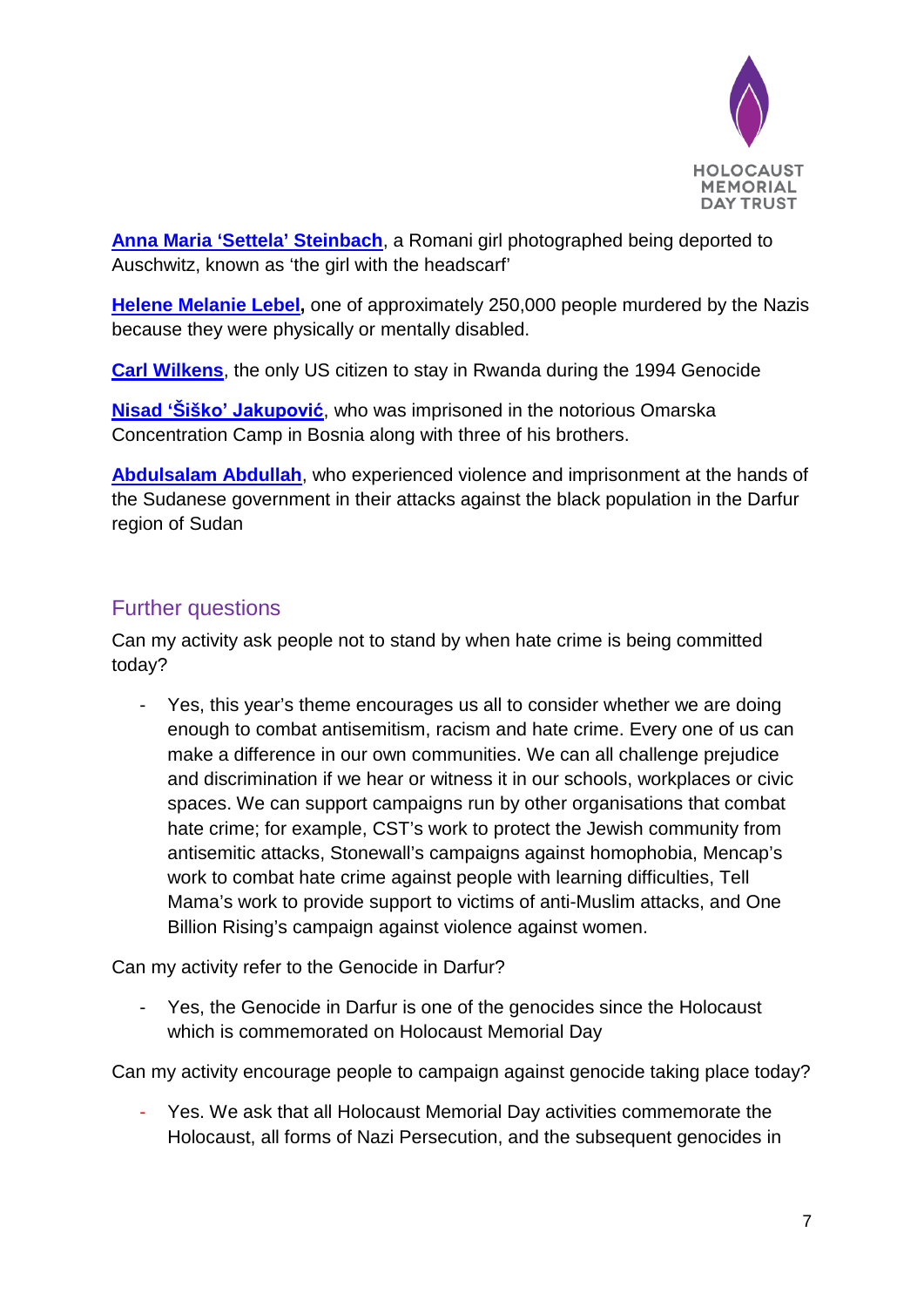

**[Anna Maria 'Settela' Steinbach](http://hmd.org.uk/resources/stories/hmd-2016-anna-maria-%E2%80%98settela%E2%80%99-steinbach)**, a Romani girl photographed being deported to Auschwitz, known as 'the girl with the headscarf'

**[Helene Melanie Lebel,](http://hmd.org.uk/resources/stories/hmd-2016-helene-melanie-lebel)** one of approximately 250,000 people murdered by the Nazis because they were physically or mentally disabled.

**[Carl Wilkens](http://hmd.org.uk/resources/stories/hmd-2016-carl-and-teresa-wilkens)**, the only US citizen to stay in Rwanda during the 1994 Genocide

**Nisad 'Šiš[ko' Jakupović](http://hmd.org.uk/resources/stories/hmd-2016-nisad-%E2%80%98%C5%A0i%C5%A0ko%E2%80%99-jakupovi%C4%87)**, who was imprisoned in the notorious Omarska Concentration Camp in Bosnia along with three of his brothers.

**[Abdulsalam Abdullah](http://hmd.org.uk/resources/stories/hmd-2016-abdulsalam-abdullah)**, who experienced violence and imprisonment at the hands of the Sudanese government in their attacks against the black population in the Darfur region of Sudan

# Further questions

Can my activity ask people not to stand by when hate crime is being committed today?

- Yes, this year's theme encourages us all to consider whether we are doing enough to combat antisemitism, racism and hate crime. Every one of us can make a difference in our own communities. We can all challenge prejudice and discrimination if we hear or witness it in our schools, workplaces or civic spaces. We can support campaigns run by other organisations that combat hate crime; for example, CST's work to protect the Jewish community from antisemitic attacks, Stonewall's campaigns against homophobia, Mencap's work to combat hate crime against people with learning difficulties, Tell Mama's work to provide support to victims of anti-Muslim attacks, and One Billion Rising's campaign against violence against women.

Can my activity refer to the Genocide in Darfur?

- Yes, the Genocide in Darfur is one of the genocides since the Holocaust which is commemorated on Holocaust Memorial Day

Can my activity encourage people to campaign against genocide taking place today?

Yes. We ask that all Holocaust Memorial Day activities commemorate the Holocaust, all forms of Nazi Persecution, and the subsequent genocides in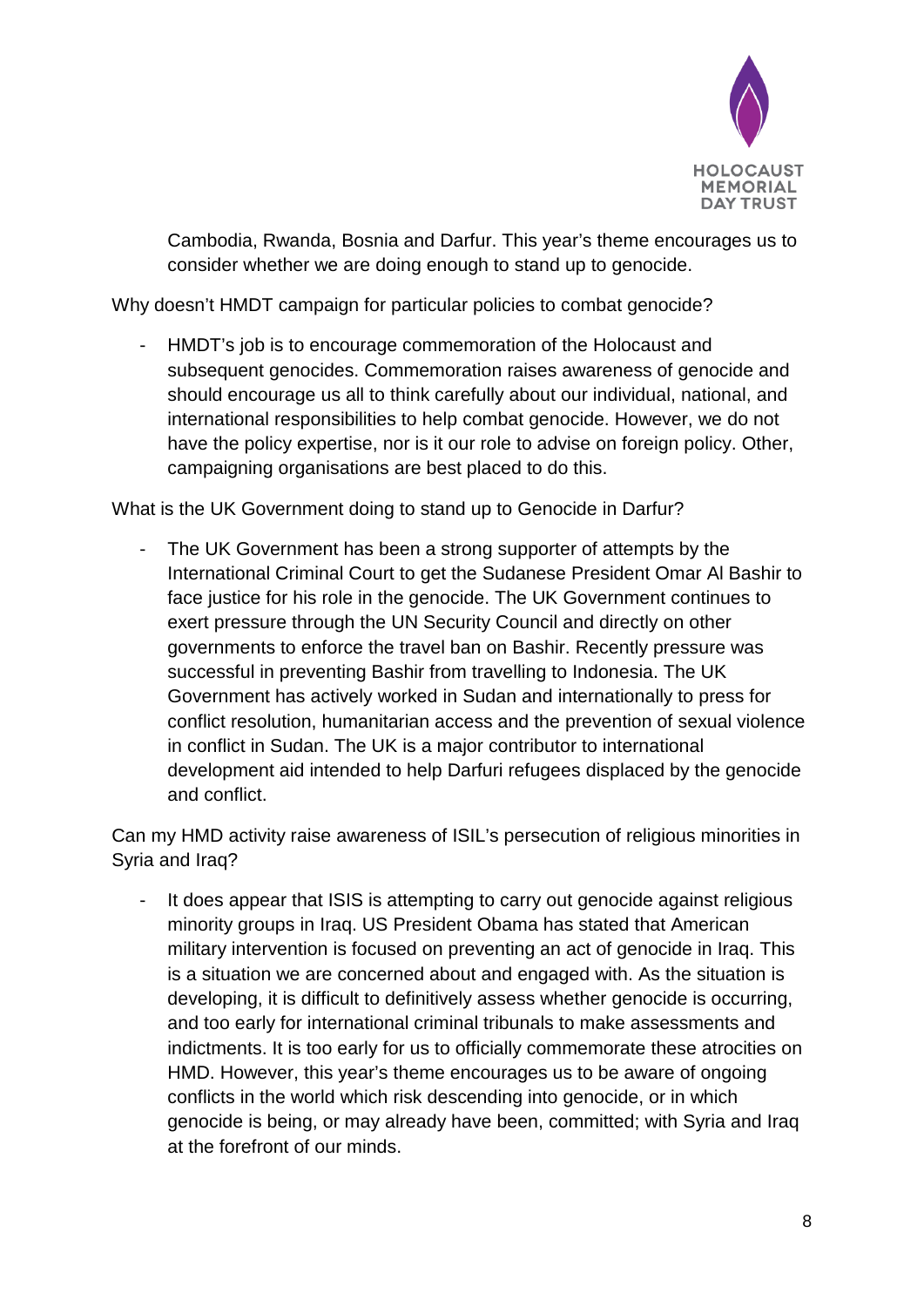

Cambodia, Rwanda, Bosnia and Darfur. This year's theme encourages us to consider whether we are doing enough to stand up to genocide.

Why doesn't HMDT campaign for particular policies to combat genocide?

HMDT's job is to encourage commemoration of the Holocaust and subsequent genocides. Commemoration raises awareness of genocide and should encourage us all to think carefully about our individual, national, and international responsibilities to help combat genocide. However, we do not have the policy expertise, nor is it our role to advise on foreign policy. Other, campaigning organisations are best placed to do this.

What is the UK Government doing to stand up to Genocide in Darfur?

The UK Government has been a strong supporter of attempts by the International Criminal Court to get the Sudanese President Omar Al Bashir to face justice for his role in the genocide. The UK Government continues to exert pressure through the UN Security Council and directly on other governments to enforce the travel ban on Bashir. Recently pressure was successful in preventing Bashir from travelling to Indonesia. The UK Government has actively worked in Sudan and internationally to press for conflict resolution, humanitarian access and the prevention of sexual violence in conflict in Sudan. The UK is a major contributor to international development aid intended to help Darfuri refugees displaced by the genocide and conflict.

Can my HMD activity raise awareness of ISIL's persecution of religious minorities in Syria and Iraq?

- It does appear that ISIS is attempting to carry out genocide against religious minority groups in Iraq. US President Obama has stated that American military intervention is focused on preventing an act of genocide in Iraq. This is a situation we are concerned about and engaged with. As the situation is developing, it is difficult to definitively assess whether genocide is occurring, and too early for international criminal tribunals to make assessments and indictments. It is too early for us to officially commemorate these atrocities on HMD. However, this year's theme encourages us to be aware of ongoing conflicts in the world which risk descending into genocide, or in which genocide is being, or may already have been, committed; with Syria and Iraq at the forefront of our minds.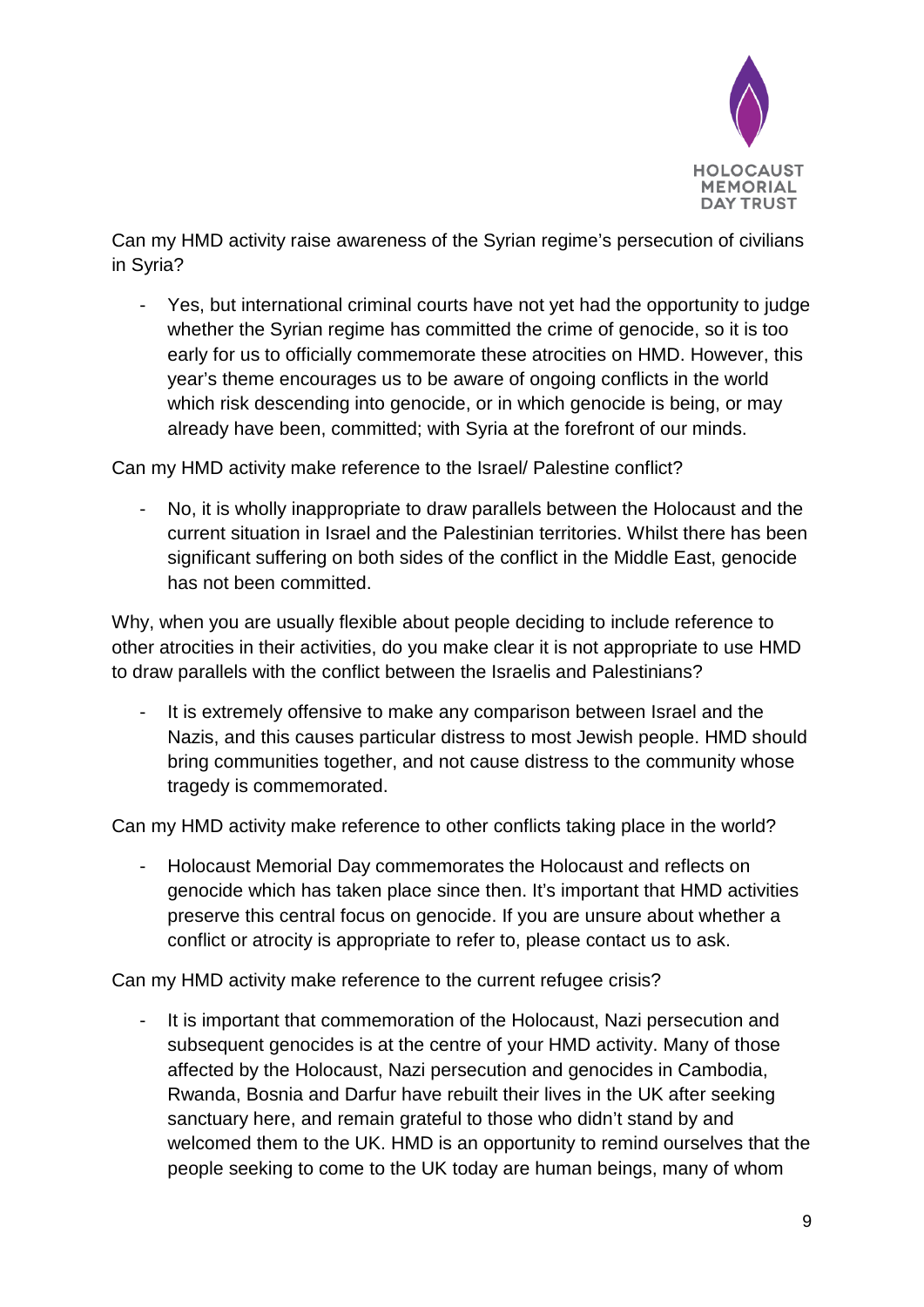

Can my HMD activity raise awareness of the Syrian regime's persecution of civilians in Syria?

- Yes, but international criminal courts have not yet had the opportunity to judge whether the Syrian regime has committed the crime of genocide, so it is too early for us to officially commemorate these atrocities on HMD. However, this year's theme encourages us to be aware of ongoing conflicts in the world which risk descending into genocide, or in which genocide is being, or may already have been, committed; with Syria at the forefront of our minds.

Can my HMD activity make reference to the Israel/ Palestine conflict?

- No, it is wholly inappropriate to draw parallels between the Holocaust and the current situation in Israel and the Palestinian territories. Whilst there has been significant suffering on both sides of the conflict in the Middle East, genocide has not been committed.

Why, when you are usually flexible about people deciding to include reference to other atrocities in their activities, do you make clear it is not appropriate to use HMD to draw parallels with the conflict between the Israelis and Palestinians?

It is extremely offensive to make any comparison between Israel and the Nazis, and this causes particular distress to most Jewish people. HMD should bring communities together, and not cause distress to the community whose tragedy is commemorated.

Can my HMD activity make reference to other conflicts taking place in the world?

- Holocaust Memorial Day commemorates the Holocaust and reflects on genocide which has taken place since then. It's important that HMD activities preserve this central focus on genocide. If you are unsure about whether a conflict or atrocity is appropriate to refer to, please contact us to ask.

Can my HMD activity make reference to the current refugee crisis?

- It is important that commemoration of the Holocaust, Nazi persecution and subsequent genocides is at the centre of your HMD activity. Many of those affected by the Holocaust, Nazi persecution and genocides in Cambodia, Rwanda, Bosnia and Darfur have rebuilt their lives in the UK after seeking sanctuary here, and remain grateful to those who didn't stand by and welcomed them to the UK. HMD is an opportunity to remind ourselves that the people seeking to come to the UK today are human beings, many of whom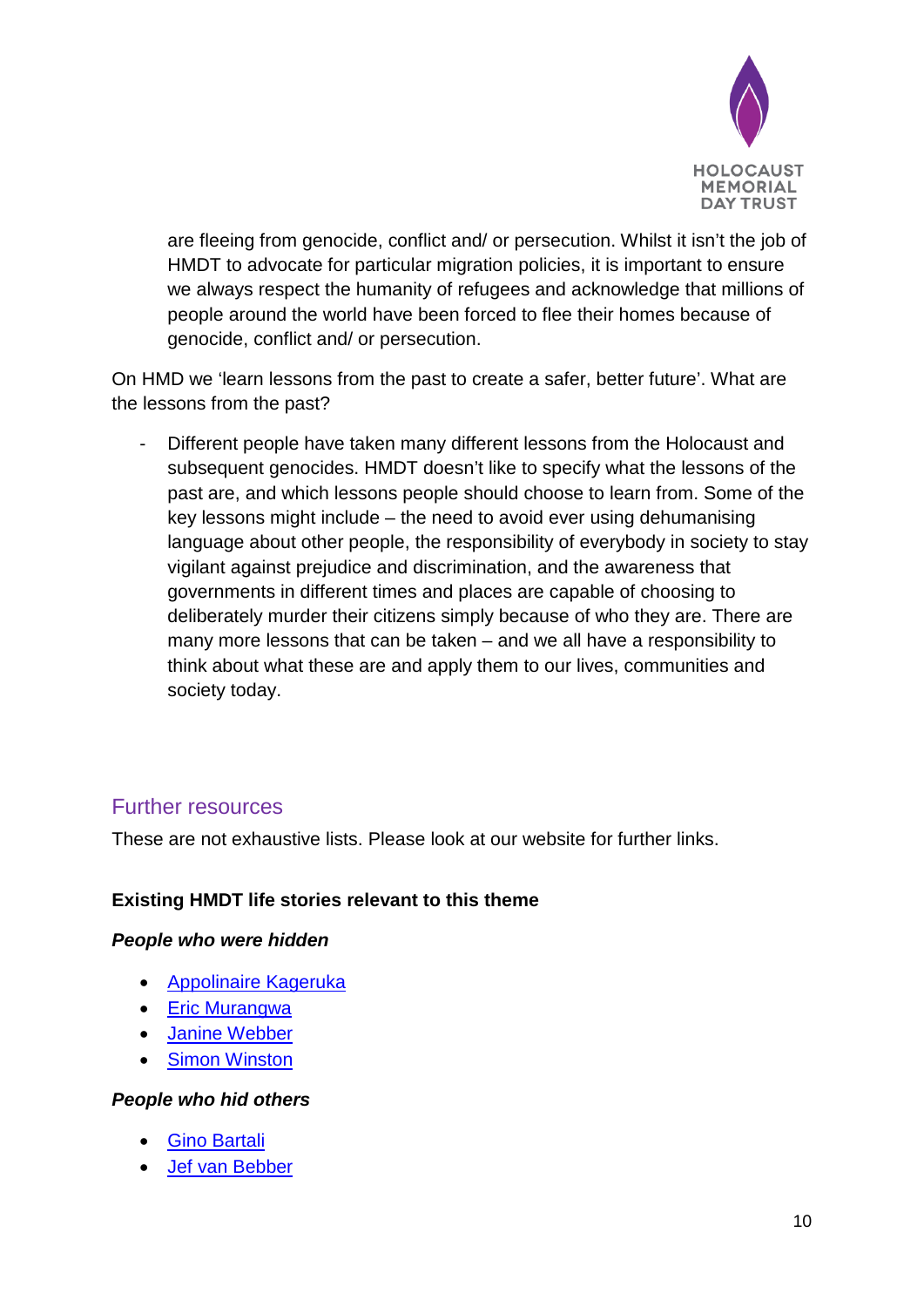

are fleeing from genocide, conflict and/ or persecution. Whilst it isn't the job of HMDT to advocate for particular migration policies, it is important to ensure we always respect the humanity of refugees and acknowledge that millions of people around the world have been forced to flee their homes because of genocide, conflict and/ or persecution.

On HMD we 'learn lessons from the past to create a safer, better future'. What are the lessons from the past?

Different people have taken many different lessons from the Holocaust and subsequent genocides. HMDT doesn't like to specify what the lessons of the past are, and which lessons people should choose to learn from. Some of the key lessons might include – the need to avoid ever using dehumanising language about other people, the responsibility of everybody in society to stay vigilant against prejudice and discrimination, and the awareness that governments in different times and places are capable of choosing to deliberately murder their citizens simply because of who they are. There are many more lessons that can be taken – and we all have a responsibility to think about what these are and apply them to our lives, communities and society today.

## Further resources

These are not exhaustive lists. Please look at our website for further links.

## **Existing HMDT life stories relevant to this theme**

#### *People who were hidden*

- [Appolinaire Kageruka](http://hmd.org.uk/resources/stories/appolinaire-kageruka)
- [Eric Murangwa](http://hmd.org.uk/resources/stories/eric-eugene-murangwa)
- [Janine Webber](http://keepthememoryalive.hmd.org.uk/story/debs-paterson-meets-janine-webber/)
- [Simon Winston](http://hmd.org.uk/resources/stories/simon-winston)

#### *People who hid others*

- [Gino Bartali](http://hmd.org.uk/resources/stories/gino-bartali)
- [Jef van Bebber](http://hmd.org.uk/resources/stories/jef-van-bebber)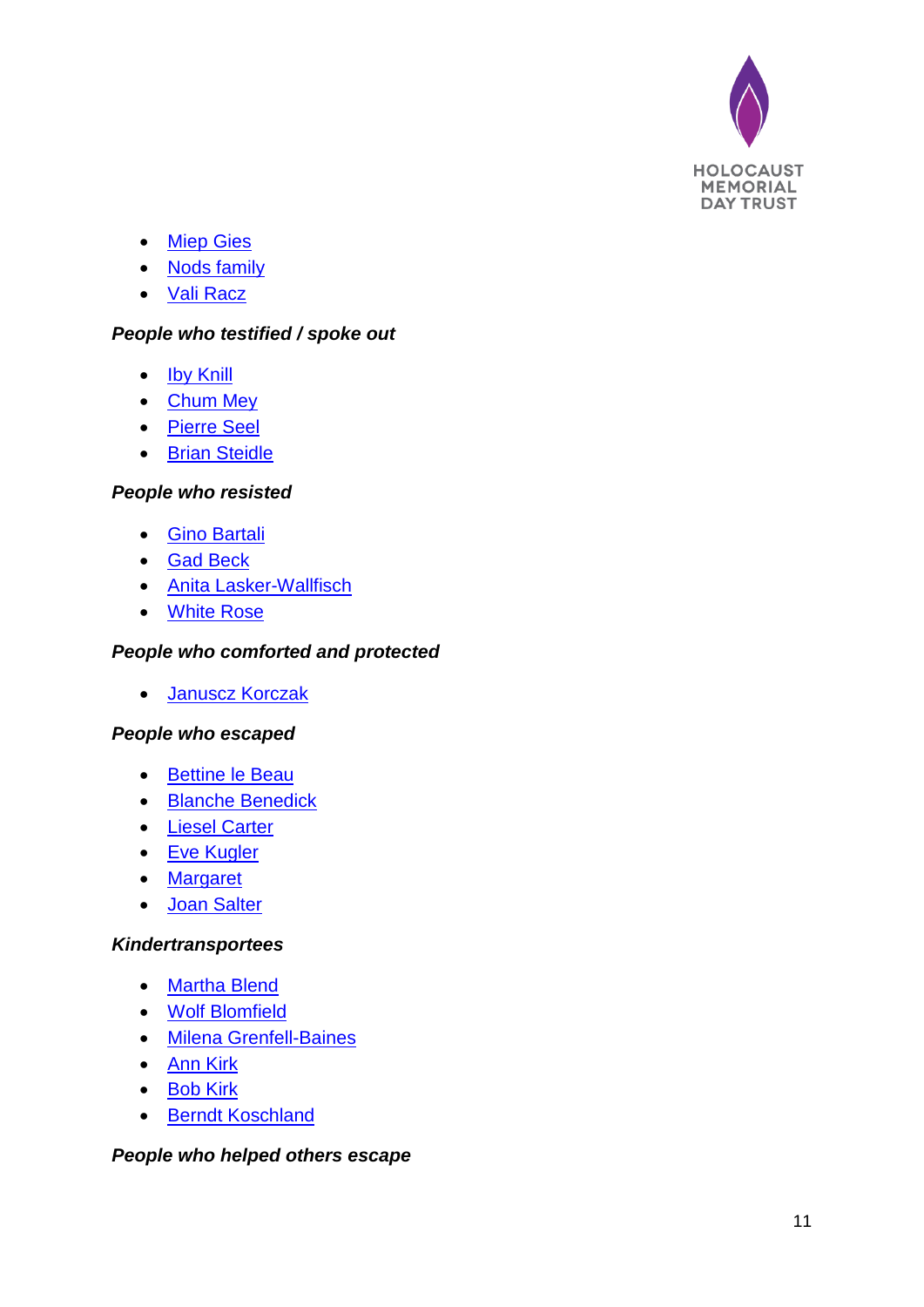

- [Miep Gies](http://hmd.org.uk/resources/stories/miep-gies)
- [Nods family](http://hmd.org.uk/resources/stories/waldemar-nods)
- [Vali Racz](http://hmd.org.uk/resources/stories/vali-r%C3%A1cz)

## *People who testified / spoke out*

- **[Iby Knill](http://hmd.org.uk/resources/films/iby-knill-auschwitz-promise)**
- [Chum Mey](http://hmd.org.uk/resources/stories/chum-mey)
- [Pierre Seel](http://hmd.org.uk/resources/stories/pierre-seel)
- [Brian Steidle](http://hmd.org.uk/resources/stories/brian-steidle)

#### *People who resisted*

- [Gino Bartali](http://hmd.org.uk/resources/stories/gino-bartali)
- [Gad Beck](http://hmd.org.uk/resources/stories/gad-beck)
- [Anita Lasker-Wallfisch](http://hmd.org.uk/resources/stories/anita-lasker-wallfisch)
- [White Rose](http://hmd.org.uk/resources/stories/white-rose)

## *People who comforted and protected*

• [Januscz Korczak](http://hmd.org.uk/resources/stories/janusz-korczak)

#### *People who escaped*

- [Bettine le Beau](http://keepthememoryalive.hmd.org.uk/story/martin-oneill-andrew-griffin-meet-bettine-le-beau/)
- [Blanche Benedick](http://hmd.org.uk/resources/stories/blanche-benedick)
- [Liesel Carter](http://hmd.org.uk/resources/stories/liesel-carter)
- [Eve Kugler](http://keepthememoryalive.hmd.org.uk/story/sarah-hesketh-meets-eve-kugler/)
- [Margaret](http://hmd.org.uk/resources/films/untold-stories-margaret)
- [Joan Salter](http://hmd.org.uk/resources/stories/joan-salter)

#### *Kindertransportees*

- [Martha Blend](http://hmd.org.uk/resources/stories/martha-blend)
- [Wolf Blomfield](http://hmd.org.uk/resources/stories/wolf-blomfield)
- [Milena Grenfell-Baines](http://hmd.org.uk/resources/stories/lady-milena-grenfell-baines)
- [Ann Kirk](http://hmd.org.uk/resources/stories/ann-kirk)
- [Bob Kirk](http://hmd.org.uk/resources/stories/bob-kirk)
- [Berndt Koschland](http://hmd.org.uk/resources/stories/bernd-koschland)

#### *People who helped others escape*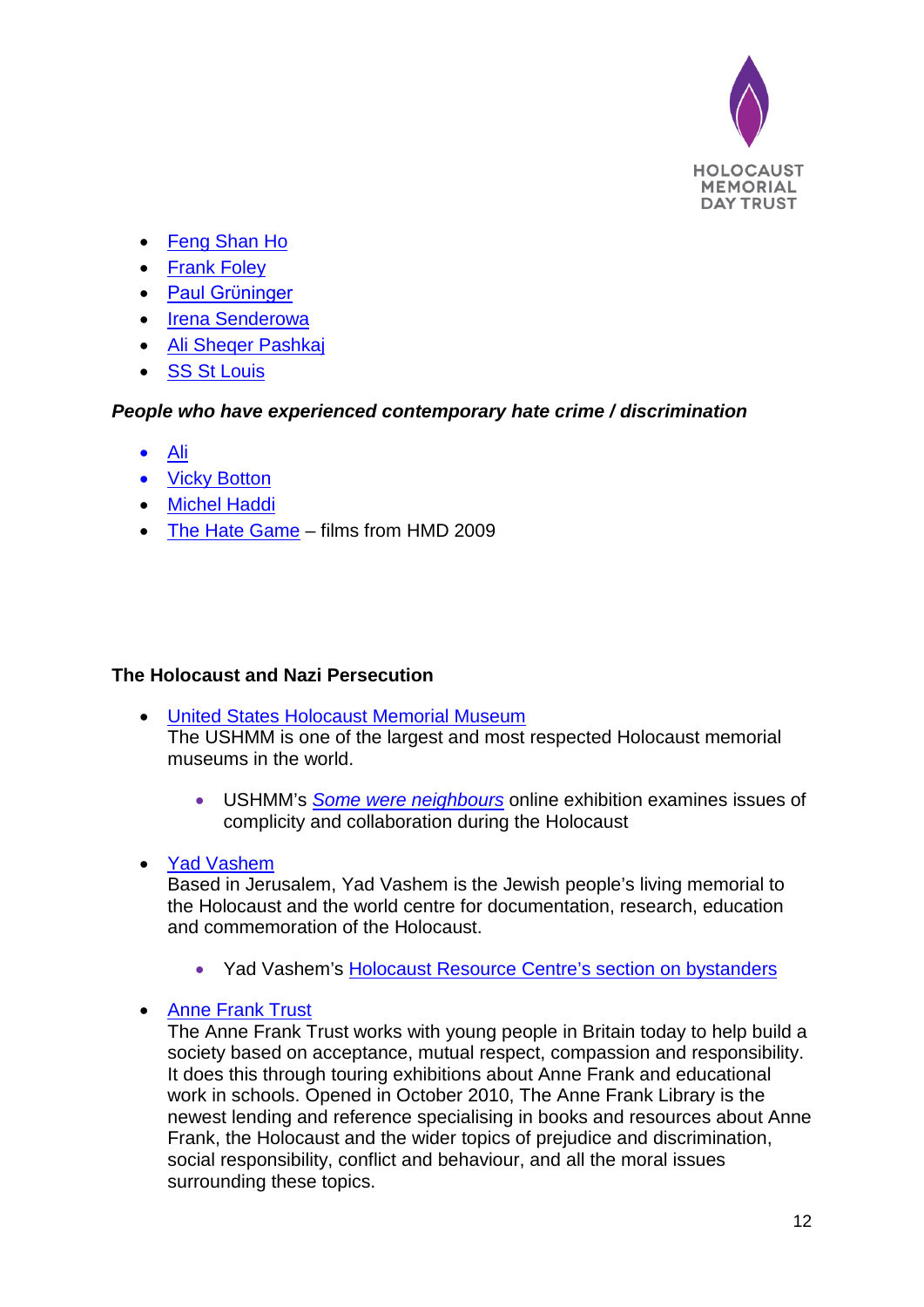

- [Feng Shan Ho](http://hmd.org.uk/resources/stories/feng-shan-ho)
- [Frank Foley](http://hmd.org.uk/resources/stories/frank-foley-0)
- [Paul Grϋninger](http://hmd.org.uk/resources/stories/paul-gr%C3%BCninger)
- [Irena Senderowa](http://hmd.org.uk/resources/stories/irena-sendlerowa)
- [Ali Sheqer Pashkaj](http://hmd.org.uk/resources/stories/ali-sheqer-pashkaj)
- [SS St Louis](http://hmd.org.uk/resources/stories/ss-st-louis)

## *People who have experienced contemporary hate crime / discrimination*

- [Ali](http://hmd.org.uk/resources/films/untold-stories-ali)
- [Vicky Botton](http://hmd.org.uk/resources/films/untold-stories-vicky-botton)
- [Michel Haddi](http://hmd.org.uk/resources/films/untold-stories-michel)
- [The Hate Game](http://hmd.org.uk/resources/films/hate-game-films-hmd-2009) films from HMD 2009

## **The Holocaust and Nazi Persecution**

- United States Holocaust Memorial Museum The USHMM is one of the largest and most respected Holocaust memorial museums in the world.
	- USHMM's *[Some were neighbours](http://somewereneighbors.ushmm.org/)* online exhibition examines issues of complicity and collaboration during the Holocaust
- [Yad Vashem](http://www.yadvashem.org/)

Based in Jerusalem, Yad Vashem is the Jewish people's living memorial to the Holocaust and the world centre for documentation, research, education and commemoration of the Holocaust.

• Yad Vashem's [Holocaust Resource Centre's section on bystanders](http://www.yadvashem.org/yv/en/holocaust/resource_center/item.asp?gate=2-52)

## • Anne Frank Trust

The Anne Frank Trust works with young people in Britain today to help build a society based on acceptance, mutual respect, compassion and responsibility. It does this through touring exhibitions about Anne Frank and educational work in schools. Opened in October 2010, The Anne Frank Library is the newest lending and reference specialising in books and resources about Anne Frank, the Holocaust and the wider topics of prejudice and discrimination, social responsibility, conflict and behaviour, and all the moral issues surrounding these topics.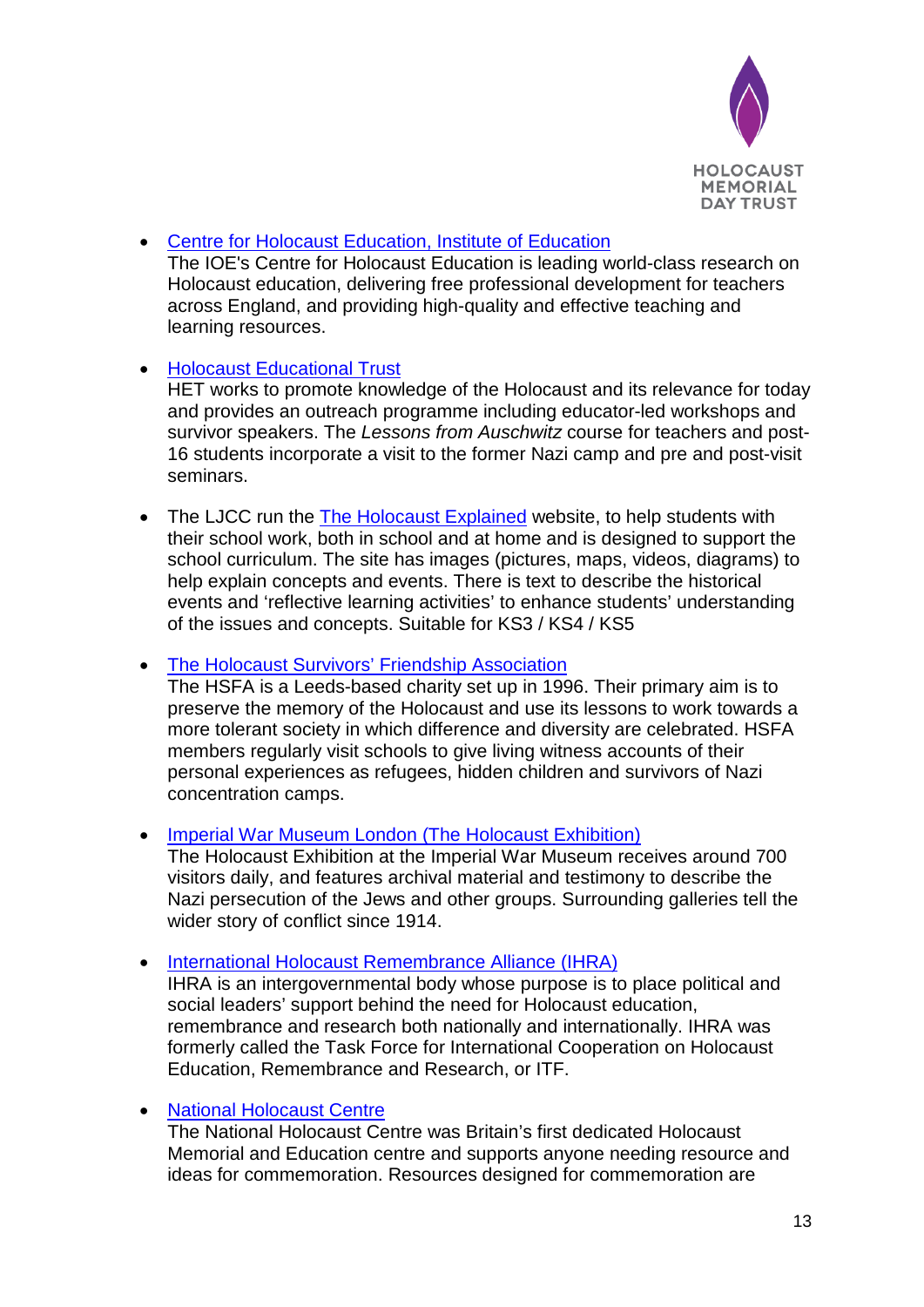

• [Centre for Holocaust Education, Institute of Education](http://www.holocausteducation.org.uk/) The IOE's Centre for Holocaust Education is leading world-class research on Holocaust education, delivering free professional development for teachers across England, and providing high-quality and effective teaching and learning resources.

## • Holocaust Educational Trust

HET works to promote knowledge of the Holocaust and its relevance for today and provides an outreach programme including educator-led workshops and survivor speakers. The *Lessons from Auschwitz* course for teachers and post-16 students incorporate a visit to the former Nazi camp and pre and post-visit seminars.

• The LJCC run the The Holocaust Explained website, to help students with their school work, both in school and at home and is designed to support the school curriculum. The site has images (pictures, maps, videos, diagrams) to help explain concepts and events. There is text to describe the historical events and 'reflective learning activities' to enhance students' understanding of the issues and concepts. Suitable for KS3 / KS4 / KS5

• The Holocaust Survivors' Friendship Association

The HSFA is a Leeds-based charity set up in 1996. Their primary aim is to preserve the memory of the Holocaust and use its lessons to work towards a more tolerant society in which difference and diversity are celebrated. HSFA members regularly visit schools to give living witness accounts of their personal experiences as refugees, hidden children and survivors of Nazi concentration camps.

• [Imperial War Museum London \(The Holocaust Exhibition\)](http://www.iwm.org.uk/history/the-holocaust)

The Holocaust Exhibition at the Imperial War Museum receives around 700 visitors daily, and features archival material and testimony to describe the Nazi persecution of the Jews and other groups. Surrounding galleries tell the wider story of conflict since 1914.

• International Holocaust Remembrance Alliance (IHRA)

IHRA is an intergovernmental body whose purpose is to place political and social leaders' support behind the need for Holocaust education, remembrance and research both nationally and internationally. IHRA was formerly called the Task Force for International Cooperation on Holocaust Education, Remembrance and Research, or ITF.

• National Holocaust Centre

The National Holocaust Centre was Britain's first dedicated Holocaust Memorial and Education centre and supports anyone needing resource and ideas for commemoration. Resources designed for commemoration are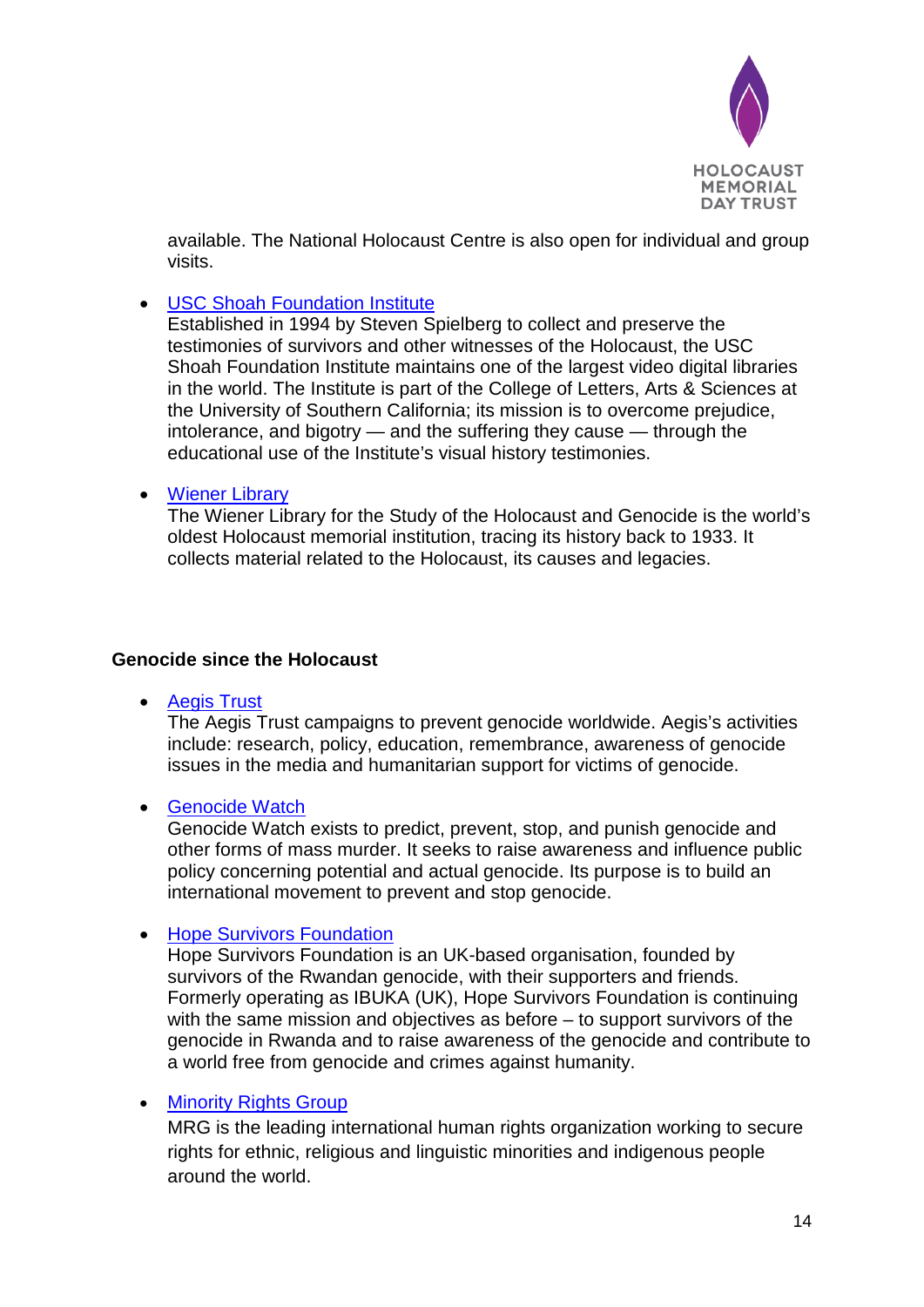

available. The National Holocaust Centre is also open for individual and group visits.

• USC Shoah Foundation Institute

Established in 1994 by Steven Spielberg to collect and preserve the testimonies of survivors and other witnesses of the Holocaust, the USC Shoah Foundation Institute maintains one of the largest video digital libraries in the world. The Institute is part of the College of Letters, Arts & Sciences at the University of Southern California; its mission is to overcome prejudice, intolerance, and bigotry — and the suffering they cause — through the educational use of the Institute's visual history testimonies.

• Wiener Library

The Wiener Library for the Study of the Holocaust and Genocide is the world's oldest Holocaust memorial institution, tracing its history back to 1933. It collects material related to the Holocaust, its causes and legacies.

#### **Genocide since the Holocaust**

• Aegis Trust

The Aegis Trust campaigns to prevent genocide worldwide. Aegis's activities include: research, policy, education, remembrance, awareness of genocide issues in the media and humanitarian support for victims of genocide.

#### • [Genocide Watch](http://www.genocidewatch.org/)

Genocide Watch exists to predict, prevent, stop, and punish genocide and other forms of mass murder. It seeks to raise awareness and influence public policy concerning potential and actual genocide. Its purpose is to build an international movement to prevent and stop genocide.

• Hope Survivors Foundation

Hope Survivors Foundation is an UK-based organisation, founded by survivors of the Rwandan genocide, with their supporters and friends. Formerly operating as IBUKA (UK), Hope Survivors Foundation is continuing with the same mission and objectives as before – to support survivors of the genocide in Rwanda and to raise awareness of the genocide and contribute to a world free from genocide and crimes against humanity.

## • [Minority Rights Group](http://www.minorityrights.org/)

MRG is the leading international human rights organization working to secure rights for ethnic, religious and linguistic minorities and indigenous people around the world.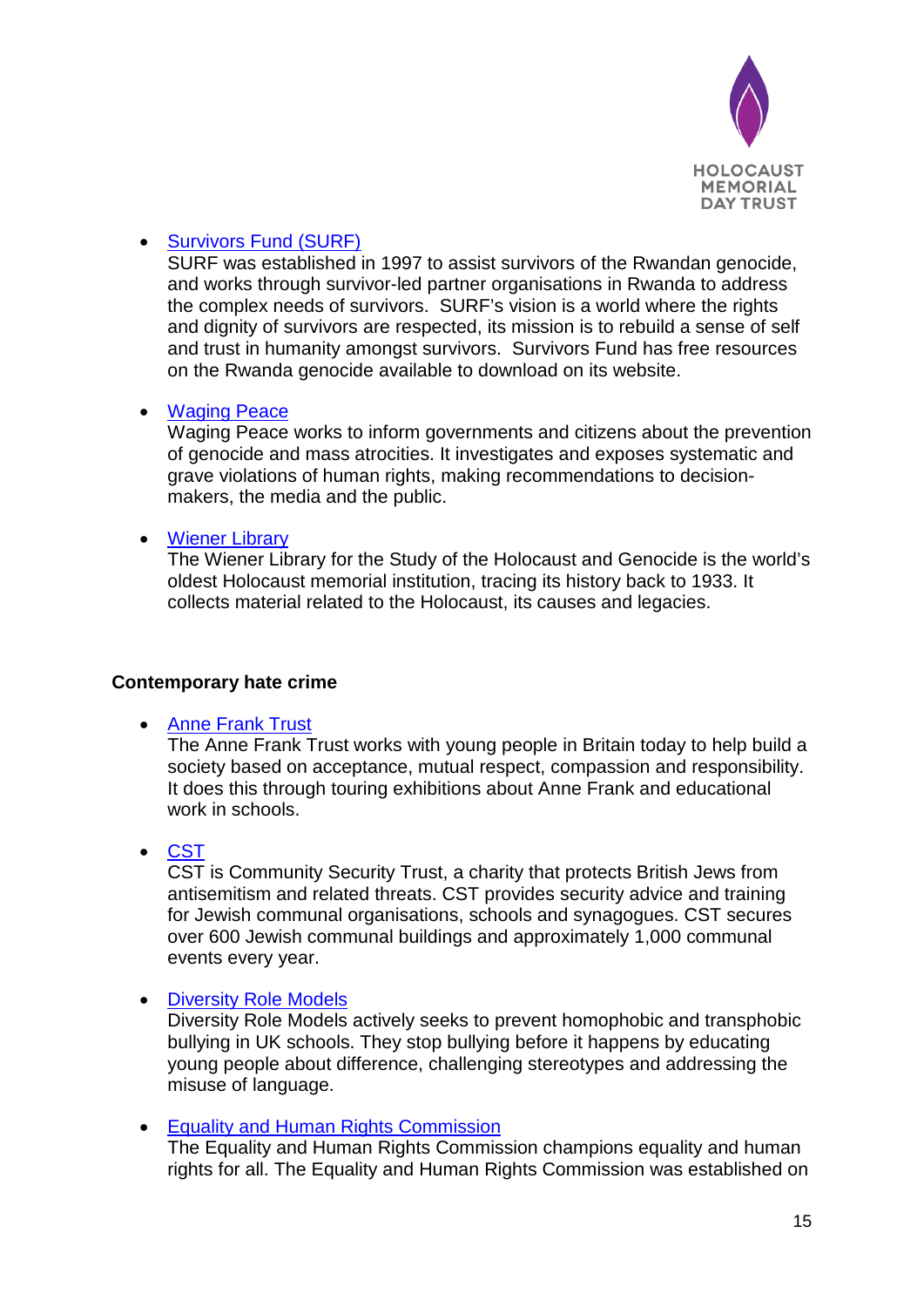

## • Survivors Fund (SURF)

SURF was established in 1997 to assist survivors of the Rwandan genocide, and works through survivor-led partner organisations in Rwanda to address the complex needs of survivors. SURF's vision is a world where the rights and dignity of survivors are respected, its mission is to rebuild a sense of self and trust in humanity amongst survivors. Survivors Fund has free resources on the Rwanda genocide available to download on its website.

## • Waging Peace

Waging Peace works to inform governments and citizens about the prevention of genocide and mass atrocities. It investigates and exposes systematic and grave violations of human rights, making recommendations to decisionmakers, the media and the public.

## • [Wiener Library](file://HMDSVR1/HMDT/Campaign/2016/Theme%202016/wienerlibrary.co.uk)

The Wiener Library for the Study of the Holocaust and Genocide is the world's oldest Holocaust memorial institution, tracing its history back to 1933. It collects material related to the Holocaust, its causes and legacies.

## **Contemporary hate crime**

• [Anne Frank Trust](file://HMDSVR1/HMDT/Campaign/2016/Theme%202016/annefrank.org.uk)

The Anne Frank Trust works with young people in Britain today to help build a society based on acceptance, mutual respect, compassion and responsibility. It does this through touring exhibitions about Anne Frank and educational work in schools.

## • [CST](https://cst.org.uk/)

CST is Community Security Trust, a charity that protects British Jews from antisemitism and related threats. CST provides security advice and training for Jewish communal organisations, schools and synagogues. CST secures over 600 Jewish communal buildings and approximately 1,000 communal events every year.

## • [Diversity Role Models](http://www.diversityrolemodels.org/)

Diversity Role Models actively seeks to prevent homophobic and transphobic bullying in UK schools. They stop bullying before it happens by educating young people about difference, challenging stereotypes and addressing the misuse of language.

• Equality and Human Rights Commission

The Equality and Human Rights Commission champions equality and human rights for all. The Equality and Human Rights Commission was established on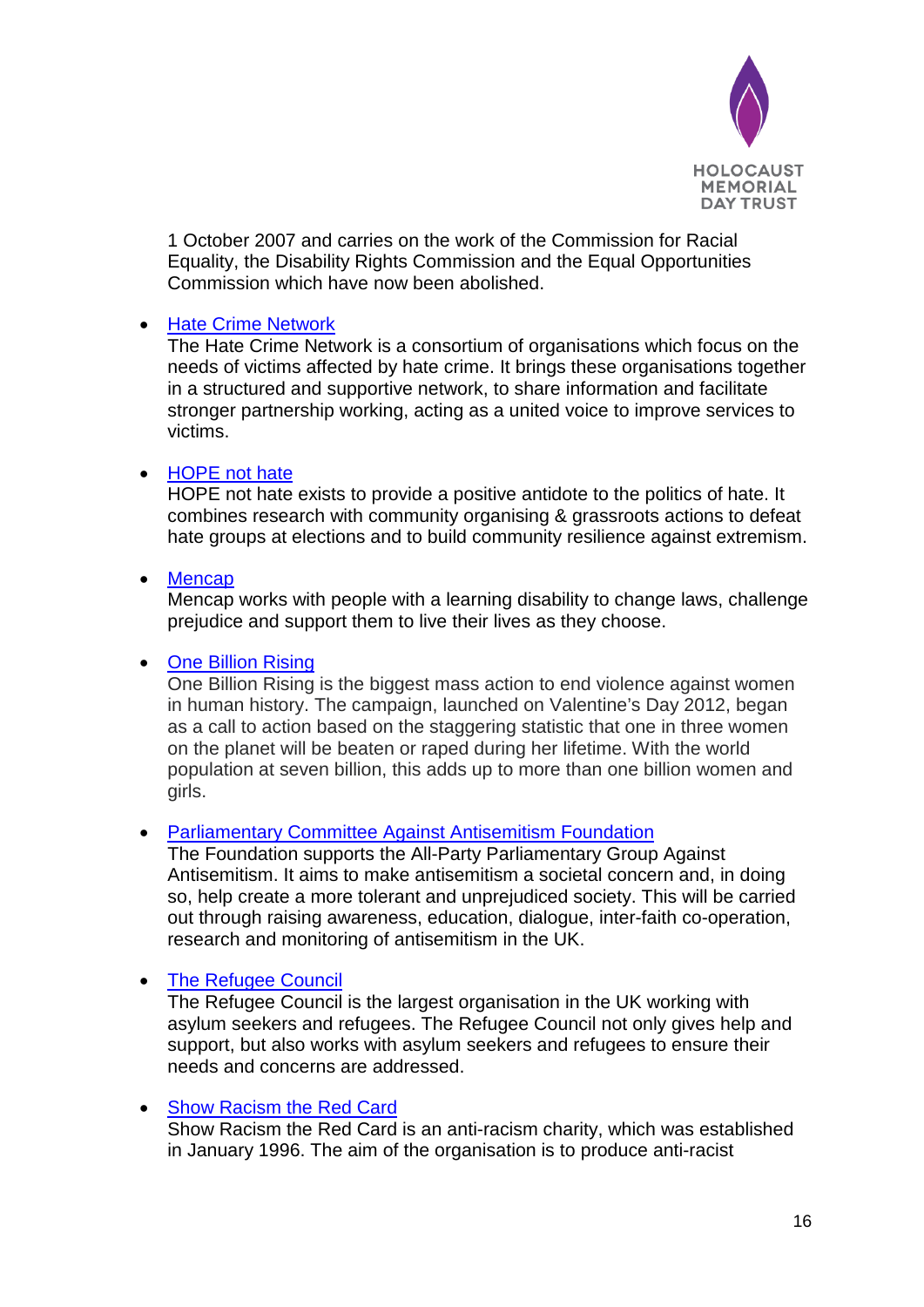

1 October 2007 and carries on the work of the Commission for Racial Equality, the Disability Rights Commission and the Equal Opportunities Commission which have now been abolished.

#### • [Hate Crime Network](https://www.victimsupport.org.uk/work-us/partner-us/hate-crime-network)

The Hate Crime Network is a consortium of organisations which focus on the needs of victims affected by hate crime. It brings these organisations together in a structured and supportive network, to share information and facilitate stronger partnership working, acting as a united voice to improve services to victims.

#### • [HOPE not hate](http://www.hopenothate.org.uk/)

HOPE not hate exists to provide a positive antidote to the politics of hate. It combines research with community organising & grassroots actions to defeat hate groups at elections and to build community resilience against extremism.

#### • [Mencap](https://www.mencap.org.uk/)

Mencap works with people with a learning disability to change laws, challenge prejudice and support them to live their lives as they choose.

#### • [One Billion Rising](http://www.onebillionrising.org/about/campaign/one-billion-rising/)

One Billion Rising is the biggest mass action to end violence against women in human history. The campaign, launched on Valentine's Day 2012, began as a call to action based on the staggering statistic that one in three women on the planet will be beaten or raped during her lifetime. With the world population at seven billion, this adds up to more than one billion women and girls.

#### • [Parliamentary Committee Against Antisemitism Foundation](http://www.antisemitism.org.uk/home/)

The Foundation supports the All-Party Parliamentary Group Against Antisemitism. It aims to make antisemitism a societal concern and, in doing so, help create a more tolerant and unprejudiced society. This will be carried out through raising awareness, education, dialogue, inter-faith co-operation, research and monitoring of antisemitism in the UK.

#### • The Refugee Council

The Refugee Council is the largest organisation in the UK working with asylum seekers and refugees. The Refugee Council not only gives help and support, but also works with asylum seekers and refugees to ensure their needs and concerns are addressed.

#### • Show Racism the Red Card

Show Racism the Red Card is an anti-racism charity, which was established in January 1996. The aim of the organisation is to produce anti-racist